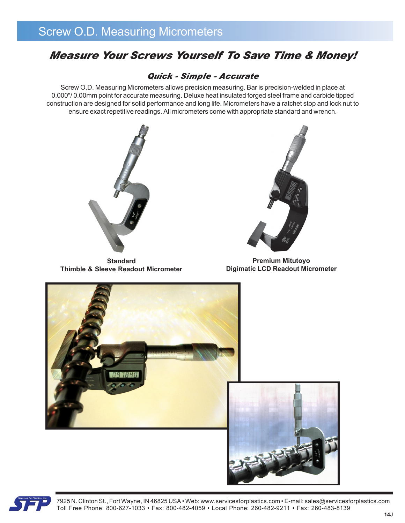### *Measure Your Screws Yourself To Save Time & Money!*

### *Quick - Simple - Accurate*

Screw O.D. Measuring Micrometers allows precision measuring. Bar is precision-welded in place at 0.000"/ 0.00mm point for accurate measuring. Deluxe heat insulated forged steel frame and carbide tipped construction are designed for solid performance and long life. Micrometers have a ratchet stop and lock nut to ensure exact repetitive readings. All micrometers come with appropriate standard and wrench.



**Standard Thimble & Sleeve Readout Micrometer**



**Premium Mitutoyo Digimatic LCD Readout Micrometer**





7925 N. Clinton St., Fort Wayne, IN 46825 USA • Web: www.servicesforplastics.com • E-mail: sales@servicesforplastics.com Toll Free Phone: 800-627-1033 • Fax: 800-482-4059 • Local Phone: 260-482-9211 • Fax: 260-483-8139